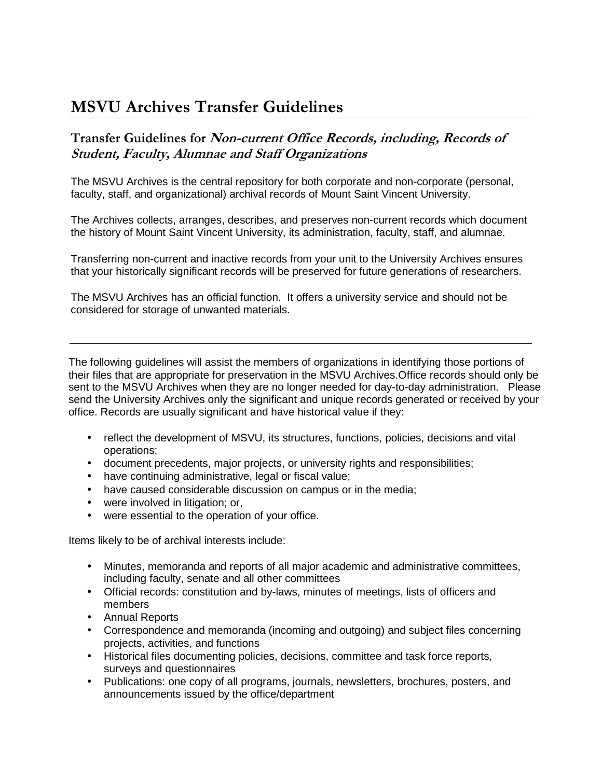# MSVU Archives Transfer Guidelines

#### Transfer Guidelines for Non-current Office Records, including, Records of Student, Faculty, Alumnae and Staff Organizations

The MSVU Archives is the central repository for both corporate and non-corporate (personal, faculty, staff, and organizational) archival records of Mount Saint Vincent University.

The Archives collects, arranges, describes, and preserves non-current records which document the history of Mount Saint Vincent University, its administration, faculty, staff, and alumnae.

Transferring non-current and inactive records from your unit to the University Archives ensures that your historically significant records will be preserved for future generations of researchers.

The MSVU Archives has an official function. It offers a university service and should not be considered for storage of unwanted materials.

The following guidelines will assist the members of organizations in identifying those portions of their files that are appropriate for preservation in the MSVU Archives.Office records should only be sent to the MSVU Archives when they are no longer needed for day-to-day administration. Please send the University Archives only the significant and unique records generated or received by your office. Records are usually significant and have historical value if they:

- reflect the development of MSVU, its structures, functions, policies, decisions and vital operations;
- document precedents, major projects, or university rights and responsibilities;
- have continuing administrative, legal or fiscal value;
- have caused considerable discussion on campus or in the media;
- were involved in litigation; or,
- were essential to the operation of your office.

Items likely to be of archival interests include:

- Minutes, memoranda and reports of all major academic and administrative committees, including faculty, senate and all other committees
- Official records: constitution and by-laws, minutes of meetings, lists of officers and members
- Annual Reports
- Correspondence and memoranda (incoming and outgoing) and subject files concerning projects, activities, and functions
- Historical files documenting policies, decisions, committee and task force reports, surveys and questionnaires
- Publications: one copy of all programs, journals, newsletters, brochures, posters, and announcements issued by the office/department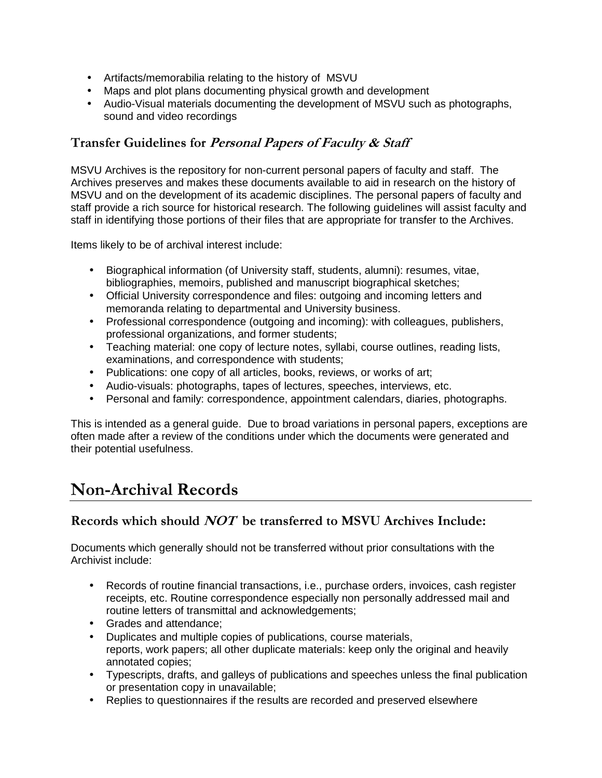- Artifacts/memorabilia relating to the history of MSVU
- Maps and plot plans documenting physical growth and development
- Audio-Visual materials documenting the development of MSVU such as photographs, sound and video recordings

### Transfer Guidelines for Personal Papers of Faculty & Staff

MSVU Archives is the repository for non-current personal papers of faculty and staff. The Archives preserves and makes these documents available to aid in research on the history of MSVU and on the development of its academic disciplines. The personal papers of faculty and staff provide a rich source for historical research. The following guidelines will assist faculty and staff in identifying those portions of their files that are appropriate for transfer to the Archives.

Items likely to be of archival interest include:

- Biographical information (of University staff, students, alumni): resumes, vitae, bibliographies, memoirs, published and manuscript biographical sketches;
- Official University correspondence and files: outgoing and incoming letters and memoranda relating to departmental and University business.
- Professional correspondence (outgoing and incoming): with colleagues, publishers, professional organizations, and former students;
- Teaching material: one copy of lecture notes, syllabi, course outlines, reading lists, examinations, and correspondence with students;
- Publications: one copy of all articles, books, reviews, or works of art;
- Audio-visuals: photographs, tapes of lectures, speeches, interviews, etc.
- Personal and family: correspondence, appointment calendars, diaries, photographs.

This is intended as a general guide. Due to broad variations in personal papers, exceptions are often made after a review of the conditions under which the documents were generated and their potential usefulness.

## Non-Archival Records

### Records which should NOT be transferred to MSVU Archives Include:

Documents which generally should not be transferred without prior consultations with the Archivist include:

- Records of routine financial transactions, i.e., purchase orders, invoices, cash register receipts, etc. Routine correspondence especially non personally addressed mail and routine letters of transmittal and acknowledgements;
- Grades and attendance;
- Duplicates and multiple copies of publications, course materials, reports, work papers; all other duplicate materials: keep only the original and heavily annotated copies;
- Typescripts, drafts, and galleys of publications and speeches unless the final publication or presentation copy in unavailable;
- Replies to questionnaires if the results are recorded and preserved elsewhere